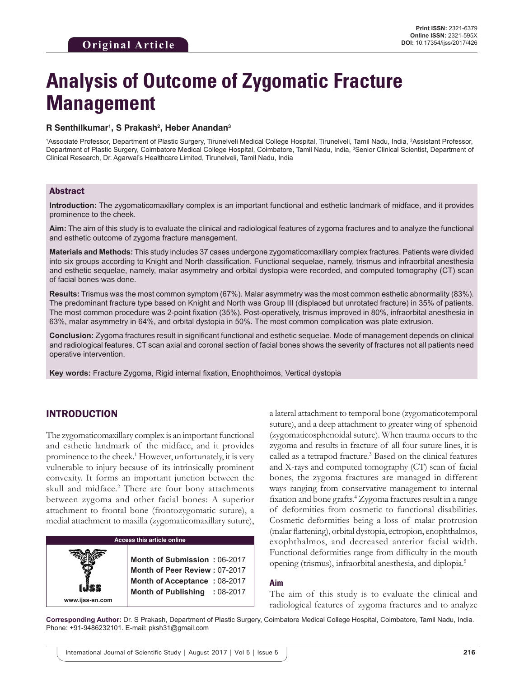# **Analysis of Outcome of Zygomatic Fracture Management**

#### **R Senthilkumar1 , S Prakash2 , Heber Anandan3**

1Associate Professor, Department of Plastic Surgery, Tirunelveli Medical College Hospital, Tirunelveli, Tamil Nadu, India, 2Assistant Professor, Department of Plastic Surgery, Coimbatore Medical College Hospital, Coimbatore, Tamil Nadu, India, <sup>3</sup>Senior Clinical Scientist, Department of Clinical Research, Dr. Agarwal's Healthcare Limited, Tirunelveli, Tamil Nadu, India

### Abstract

**Introduction:** The zygomaticomaxillary complex is an important functional and esthetic landmark of midface, and it provides prominence to the cheek.

**Aim:** The aim of this study is to evaluate the clinical and radiological features of zygoma fractures and to analyze the functional and esthetic outcome of zygoma fracture management.

**Materials and Methods:** This study includes 37 cases undergone zygomaticomaxillary complex fractures. Patients were divided into six groups according to Knight and North classification. Functional sequelae, namely, trismus and infraorbital anesthesia and esthetic sequelae, namely, malar asymmetry and orbital dystopia were recorded, and computed tomography (CT) scan of facial bones was done.

**Results:** Trismus was the most common symptom (67%). Malar asymmetry was the most common esthetic abnormality (83%). The predominant fracture type based on Knight and North was Group III (displaced but unrotated fracture) in 35% of patients. The most common procedure was 2-point fixation (35%). Post-operatively, trismus improved in 80%, infraorbital anesthesia in 63%, malar asymmetry in 64%, and orbital dystopia in 50%. The most common complication was plate extrusion.

**Conclusion:** Zygoma fractures result in significant functional and esthetic sequelae. Mode of management depends on clinical and radiological features. CT scan axial and coronal section of facial bones shows the severity of fractures not all patients need operative intervention.

**Key words:** Fracture Zygoma, Rigid internal fixation, Enophthoimos, Vertical dystopia

# INTRODUCTION

The zygomaticomaxillary complex is an important functional and esthetic landmark of the midface, and it provides prominence to the cheek.<sup>1</sup> However, unfortunately, it is very vulnerable to injury because of its intrinsically prominent convexity. It forms an important junction between the skull and midface.<sup>2</sup> There are four bony attachments between zygoma and other facial bones: A superior attachment to frontal bone (frontozygomatic suture), a medial attachment to maxilla (zygomaticomaxillary suture),

| <b>Access this article online</b> |                                                                                                                                |  |  |
|-----------------------------------|--------------------------------------------------------------------------------------------------------------------------------|--|--|
|                                   |                                                                                                                                |  |  |
| www.ijss-sn.com                   | Month of Submission: 06-2017<br>Month of Peer Review: 07-2017<br>Month of Acceptance: 08-2017<br>Month of Publishing : 08-2017 |  |  |

a lateral attachment to temporal bone (zygomaticotemporal suture), and a deep attachment to greater wing of sphenoid (zygomaticosphenoidal suture). When trauma occurs to the zygoma and results in fracture of all four suture lines, it is called as a tetrapod fracture.<sup>3</sup> Based on the clinical features and X-rays and computed tomography (CT) scan of facial bones, the zygoma fractures are managed in different ways ranging from conservative management to internal fixation and bone grafts.<sup>4</sup> Zygoma fractures result in a range of deformities from cosmetic to functional disabilities. Cosmetic deformities being a loss of malar protrusion (malar flattening), orbital dystopia, ectropion, enophthalmos, exophthalmos, and decreased anterior facial width. Functional deformities range from difficulty in the mouth opening (trismus), infraorbital anesthesia, and diplopia.5

#### **Aim**

The aim of this study is to evaluate the clinical and radiological features of zygoma fractures and to analyze

**Corresponding Author:** Dr. S Prakash, Department of Plastic Surgery, Coimbatore Medical College Hospital, Coimbatore, Tamil Nadu, India. Phone: +91-9486232101. E-mail: pksh31@gmail.com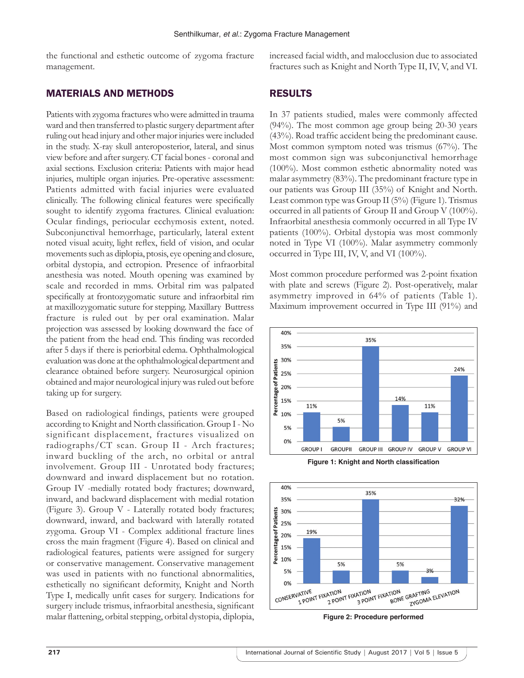the functional and esthetic outcome of zygoma fracture management.

## MATERIALS AND METHODS

Patients with zygoma fractures who were admitted in trauma ward and then transferred to plastic surgery department after ruling out head injury and other major injuries were included in the study. X-ray skull anteroposterior, lateral, and sinus view before and after surgery. CT facial bones- coronal and axial sections. Exclusion criteria: Patients with major head injuries, multiple organ injuries. Pre-operative assessment: Patients admitted with facial injuries were evaluated clinically. The following clinical features were specifically sought to identify zygoma fractures. Clinical evaluation: Ocular findings, periocular ecchymosis extent, noted. Subconjunctival hemorrhage, particularly, lateral extent noted visual acuity, light reflex, field of vision, and ocular movements such as diplopia, ptosis, eye opening and closure, orbital dystopia, and ectropion. Presence of infraorbital anesthesia was noted. Mouth opening was examined by scale and recorded in mms. Orbital rim was palpated specifically at frontozygomatic suture and infraorbital rim at maxillozygomatic suture for stepping. Maxillary Buttress fracture is ruled out by per oral examination. Malar projection was assessed by looking downward the face of the patient from the head end. This finding was recorded after 5 days if there is periorbital edema. Ophthalmological evaluation was done at the ophthalmological department and clearance obtained before surgery. Neurosurgical opinion obtained and major neurological injury was ruled out before taking up for surgery.

Based on radiological findings, patients were grouped according to Knight and North classification. Group I- No significant displacement, fractures visualized on radiographs/CT scan. Group II - Arch fractures; inward buckling of the arch, no orbital or antral involvement. Group III - Unrotated body fractures; downward and inward displacement but no rotation. Group IV -medially rotated body fractures; downward, inward, and backward displacement with medial rotation (Figure 3). Group V - Laterally rotated body fractures; downward, inward, and backward with laterally rotated zygoma. Group VI - Complex additional fracture lines cross the main fragment (Figure 4). Based on clinical and radiological features, patients were assigned for surgery or conservative management. Conservative management was used in patients with no functional abnormalities, esthetically no significant deformity, Knight and North Type I, medically unfit cases for surgery. Indications for surgery include trismus, infraorbital anesthesia, significant malar flattening, orbital stepping, orbital dystopia, diplopia, increased facial width, and malocclusion due to associated fractures such as Knight and North Type II, IV, V, and VI.

# RESULTS

In 37 patients studied, males were commonly affected (94%). The most common age group being 20-30 years (43%). Road traffic accident being the predominant cause. Most common symptom noted was trismus (67%). The most common sign was subconjunctival hemorrhage (100%). Most common esthetic abnormality noted was malar asymmetry (83%). The predominant fracture type in our patients was Group III (35%) of Knight and North. Least common type was Group II (5%) (Figure 1). Trismus occurred in all patients of Group II and Group V (100%). Infraorbital anesthesia commonly occurred in all Type IV patients (100%). Orbital dystopia was most commonly noted in Type VI (100%). Malar asymmetry commonly occurred in Type III, IV, V, and VI (100%).

Most common procedure performed was 2-point fixation with plate and screws (Figure 2). Post-operatively, malar asymmetry improved in 64% of patients (Table 1). Maximum improvement occurred in Type III (91%) and





**Figure 2: Procedure performed**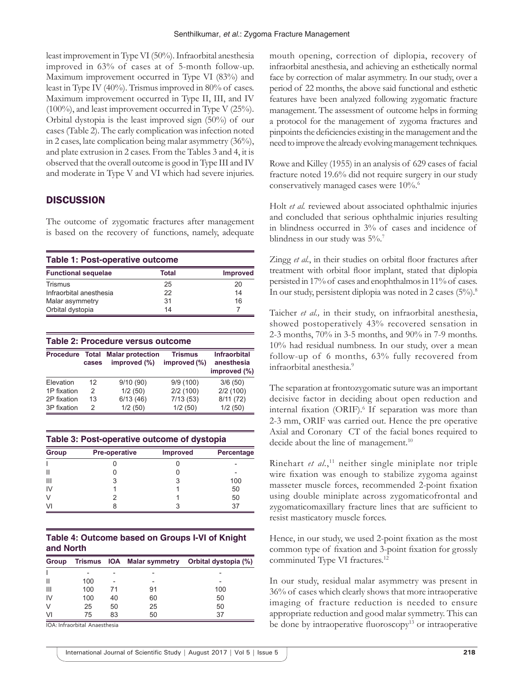least improvement in Type VI (50%). Infraorbital anesthesia improved in 63% of cases at of 5-month follow-up. Maximum improvement occurred in Type VI (83%) and least in Type IV (40%). Trismus improved in 80% of cases. Maximum improvement occurred in Type II, III, and IV (100%), and least improvement occurred in Type V (25%). Orbital dystopia is the least improved sign (50%) of our cases (Table 2). The early complication was infection noted in 2 cases, late complication being malar asymmetry (36%), and plate extrusion in 2 cases. From the Tables 3 and 4, it is observed that the overall outcome is good in Type III and IV and moderate in Type V and VI which had severe injuries.

# **DISCUSSION**

The outcome of zygomatic fractures after management is based on the recovery of functions, namely, adequate

| Table 1: Post-operative outcome |       |                 |  |
|---------------------------------|-------|-----------------|--|
| <b>Functional sequelae</b>      | Total | <b>Improved</b> |  |
| Trismus                         | 25    | 20              |  |
| Infraorbital anesthesia         | 22    | 14              |  |
| Malar asymmetry                 | 31    | 16              |  |
| Orbital dystopia                | 14    |                 |  |

| Table 2: Procedure versus outcome  |    |                                         |                                |                                                   |  |
|------------------------------------|----|-----------------------------------------|--------------------------------|---------------------------------------------------|--|
| Total<br><b>Procedure</b><br>cases |    | <b>Malar protection</b><br>improved (%) | <b>Trismus</b><br>improved (%) | <b>Infraorbital</b><br>anesthesia<br>improved (%) |  |
| Elevation                          | 12 | 9/10(90)                                | 9/9(100)                       | 3/6(50)                                           |  |
| 1P fixation                        | 2  | 1/2(50)                                 | 2/2(100)                       | 2/2(100)                                          |  |
| 2P fixation                        | 13 | 6/13(46)                                | 7/13(53)                       | 8/11(72)                                          |  |
| 3P fixation                        | 2  | 1/2(50)                                 | 1/2(50)                        | 1/2(50)                                           |  |

| Table 3: Post-operative outcome of dystopia |                      |                 |            |  |
|---------------------------------------------|----------------------|-----------------|------------|--|
| <b>Group</b>                                | <b>Pre-operative</b> | <b>Improved</b> | Percentage |  |
|                                             |                      |                 |            |  |
|                                             |                      |                 |            |  |
| $\mathsf{III}$                              |                      |                 | 100        |  |
| IV                                          |                      |                 | 50         |  |
|                                             |                      |                 | 50         |  |
|                                             |                      |                 | 37         |  |

| Table 4: Outcome based on Groups I-VI of Knight |  |  |
|-------------------------------------------------|--|--|
| and North                                       |  |  |

| Group        |     |    |    | Trismus IOA Malar symmetry Orbital dystopia (%) |
|--------------|-----|----|----|-------------------------------------------------|
|              |     |    |    |                                                 |
| $\mathsf{I}$ | 100 |    |    |                                                 |
| Ш            | 100 | 71 | 91 | 100                                             |
| IV           | 100 | 40 | 60 | 50                                              |
| V            | 25  | 50 | 25 | 50                                              |
| VI           | 75  | 83 | 50 | 37                                              |

IOA: Infraorbital Anaesthesia

mouth opening, correction of diplopia, recovery of infraorbital anesthesia, and achieving an esthetically normal face by correction of malar asymmetry. In our study, over a period of 22 months, the above said functional and esthetic features have been analyzed following zygomatic fracture management. The assessment of outcome helps in forming a protocol for the management of zygoma fractures and pinpoints the deficiencies existing in the management and the need to improve the already evolving management techniques.

Rowe and Killey (1955) in an analysis of 629 cases of facial fracture noted 19.6% did not require surgery in our study conservatively managed cases were 10%.<sup>6</sup>

Holt *et al.* reviewed about associated ophthalmic injuries and concluded that serious ophthalmic injuries resulting in blindness occurred in 3% of cases and incidence of blindness in our study was  $5\%$ .<sup>7</sup>

Zingg *et al.*, in their studies on orbital floor fractures after treatment with orbital floor implant, stated that diplopia persisted in 17% of cases and enophthalmos in 11% of cases. In our study, persistent diplopia was noted in 2 cases (5%).<sup>8</sup>

Taicher *et al.,* in their study, on infraorbital anesthesia, showed postoperatively 43% recovered sensation in 2-3 months, 70% in 3-5 months, and 90% in 7-9 months. 10% had residual numbness. In our study, over a mean follow-up of 6 months, 63% fully recovered from infraorbital anesthesia.9

The separation at frontozygomatic suture was an important decisive factor in deciding about open reduction and internal fixation (ORIF).<sup>6</sup> If separation was more than 2-3 mm, ORIF was carried out. Hence the pre operative Axial and Coronary CT of the facial bones required to decide about the line of management.<sup>10</sup>

Rinehart *et al.*, 11 neither single miniplate nor triple wire fixation was enough to stabilize zygoma against masseter muscle forces, recommended 2-point fixation using double miniplate across zygomaticofrontal and zygomaticomaxillary fracture lines that are sufficient to resist masticatory muscle forces.

Hence, in our study, we used 2-point fixation as the most common type of fixation and 3-point fixation for grossly comminuted Type VI fractures.<sup>12</sup>

In our study, residual malar asymmetry was present in 36% of cases which clearly shows that more intraoperative imaging of fracture reduction is needed to ensure appropriate reduction and good malar symmetry. This can be done by intraoperative fluoroscopy<sup>13</sup> or intraoperative